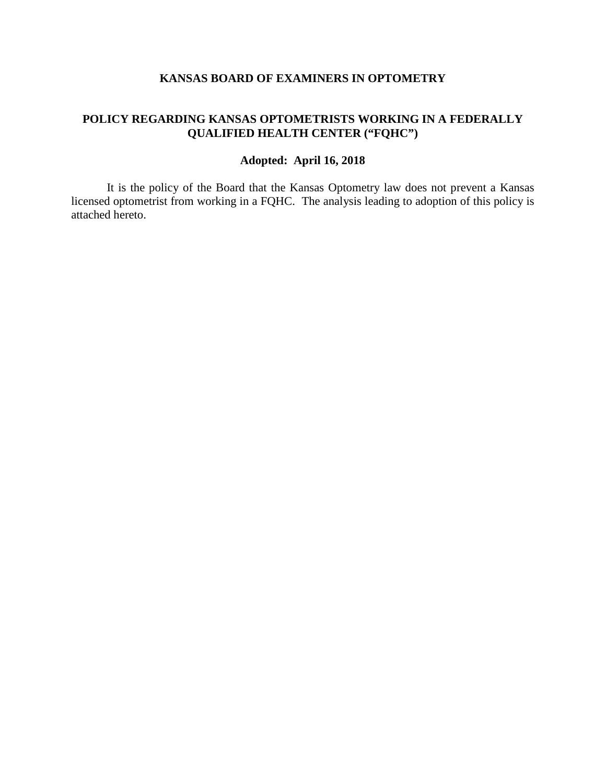## **KANSAS BOARD OF EXAMINERS IN OPTOMETRY**

## **POLICY REGARDING KANSAS OPTOMETRISTS WORKING IN A FEDERALLY QUALIFIED HEALTH CENTER ("FQHC")**

## **Adopted: April 16, 2018**

It is the policy of the Board that the Kansas Optometry law does not prevent a Kansas licensed optometrist from working in a FQHC. The analysis leading to adoption of this policy is attached hereto.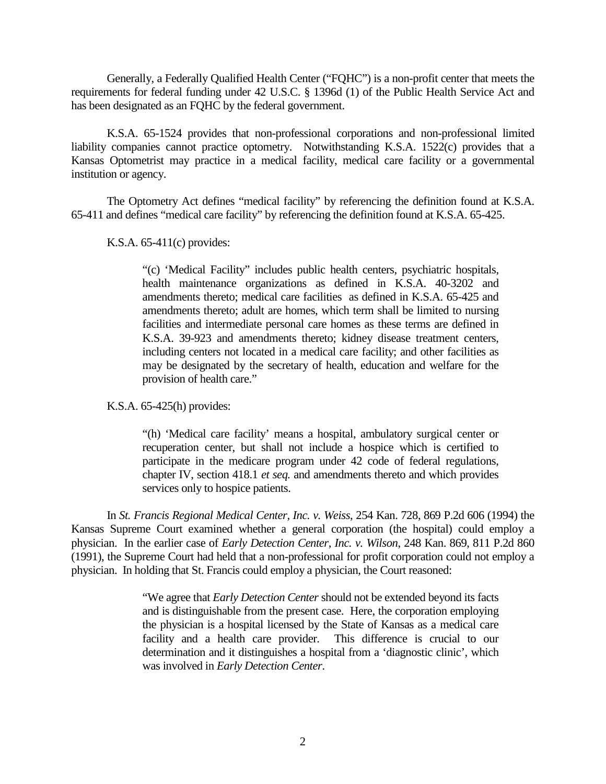Generally, a Federally Qualified Health Center ("FQHC") is a non-profit center that meets the requirements for federal funding under 42 U.S.C. § 1396d (1) of the Public Health Service Act and has been designated as an FQHC by the federal government.

K.S.A. 65-1524 provides that non-professional corporations and non-professional limited liability companies cannot practice optometry. Notwithstanding K.S.A. 1522(c) provides that a Kansas Optometrist may practice in a medical facility, medical care facility or a governmental institution or agency.

The Optometry Act defines "medical facility" by referencing the definition found at K.S.A. 65-411 and defines "medical care facility" by referencing the definition found at K.S.A. 65-425.

K.S.A. 65-411(c) provides:

"(c) 'Medical Facility" includes public health centers, psychiatric hospitals, health maintenance organizations as defined in K.S.A. 40-3202 and amendments thereto; medical care facilities as defined in K.S.A. 65-425 and amendments thereto; adult are homes, which term shall be limited to nursing facilities and intermediate personal care homes as these terms are defined in K.S.A. 39-923 and amendments thereto; kidney disease treatment centers, including centers not located in a medical care facility; and other facilities as may be designated by the secretary of health, education and welfare for the provision of health care."

K.S.A. 65-425(h) provides:

"(h) 'Medical care facility' means a hospital, ambulatory surgical center or recuperation center, but shall not include a hospice which is certified to participate in the medicare program under 42 code of federal regulations, chapter IV, section 418.1 *et seq.* and amendments thereto and which provides services only to hospice patients.

In *St. Francis Regional Medical Center, Inc. v. Weiss*, 254 Kan. 728, 869 P.2d 606 (1994) the Kansas Supreme Court examined whether a general corporation (the hospital) could employ a physician. In the earlier case of *Early Detection Center, Inc. v. Wilson*, 248 Kan. 869, 811 P.2d 860 (1991), the Supreme Court had held that a non-professional for profit corporation could not employ a physician. In holding that St. Francis could employ a physician, the Court reasoned:

> "We agree that *Early Detection Center* should not be extended beyond its facts and is distinguishable from the present case. Here, the corporation employing the physician is a hospital licensed by the State of Kansas as a medical care facility and a health care provider. This difference is crucial to our determination and it distinguishes a hospital from a 'diagnostic clinic', which was involved in *Early Detection Center*.